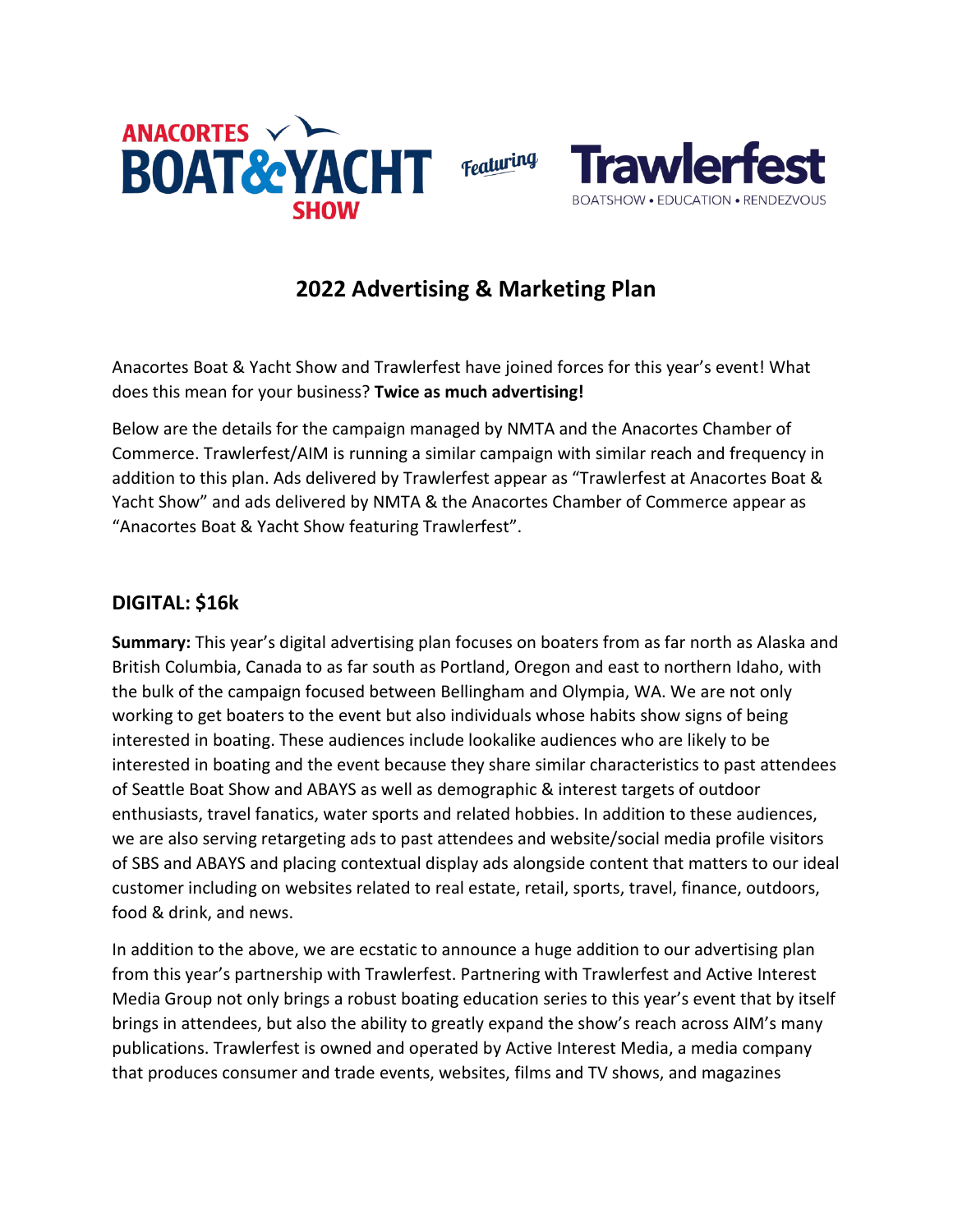

# **2022 Advertising & Marketing Plan**

Anacortes Boat & Yacht Show and Trawlerfest have joined forces for this year's event! What does this mean for your business? **Twice as much advertising!**

Below are the details for the campaign managed by NMTA and the Anacortes Chamber of Commerce. Trawlerfest/AIM is running a similar campaign with similar reach and frequency in addition to this plan. Ads delivered by Trawlerfest appear as "Trawlerfest at Anacortes Boat & Yacht Show" and ads delivered by NMTA & the Anacortes Chamber of Commerce appear as "Anacortes Boat & Yacht Show featuring Trawlerfest".

#### **DIGITAL: \$16k**

**Summary:** This year's digital advertising plan focuses on boaters from as far north as Alaska and British Columbia, Canada to as far south as Portland, Oregon and east to northern Idaho, with the bulk of the campaign focused between Bellingham and Olympia, WA. We are not only working to get boaters to the event but also individuals whose habits show signs of being interested in boating. These audiences include lookalike audiences who are likely to be interested in boating and the event because they share similar characteristics to past attendees of Seattle Boat Show and ABAYS as well as demographic & interest targets of outdoor enthusiasts, travel fanatics, water sports and related hobbies. In addition to these audiences, we are also serving retargeting ads to past attendees and website/social media profile visitors of SBS and ABAYS and placing contextual display ads alongside content that matters to our ideal customer including on websites related to real estate, retail, sports, travel, finance, outdoors, food & drink, and news.

In addition to the above, we are ecstatic to announce a huge addition to our advertising plan from this year's partnership with Trawlerfest. Partnering with Trawlerfest and Active Interest Media Group not only brings a robust boating education series to this year's event that by itself brings in attendees, but also the ability to greatly expand the show's reach across AIM's many publications. Trawlerfest is owned and operated by Active Interest Media, a media company that produces consumer and trade events, websites, films and TV shows, and magazines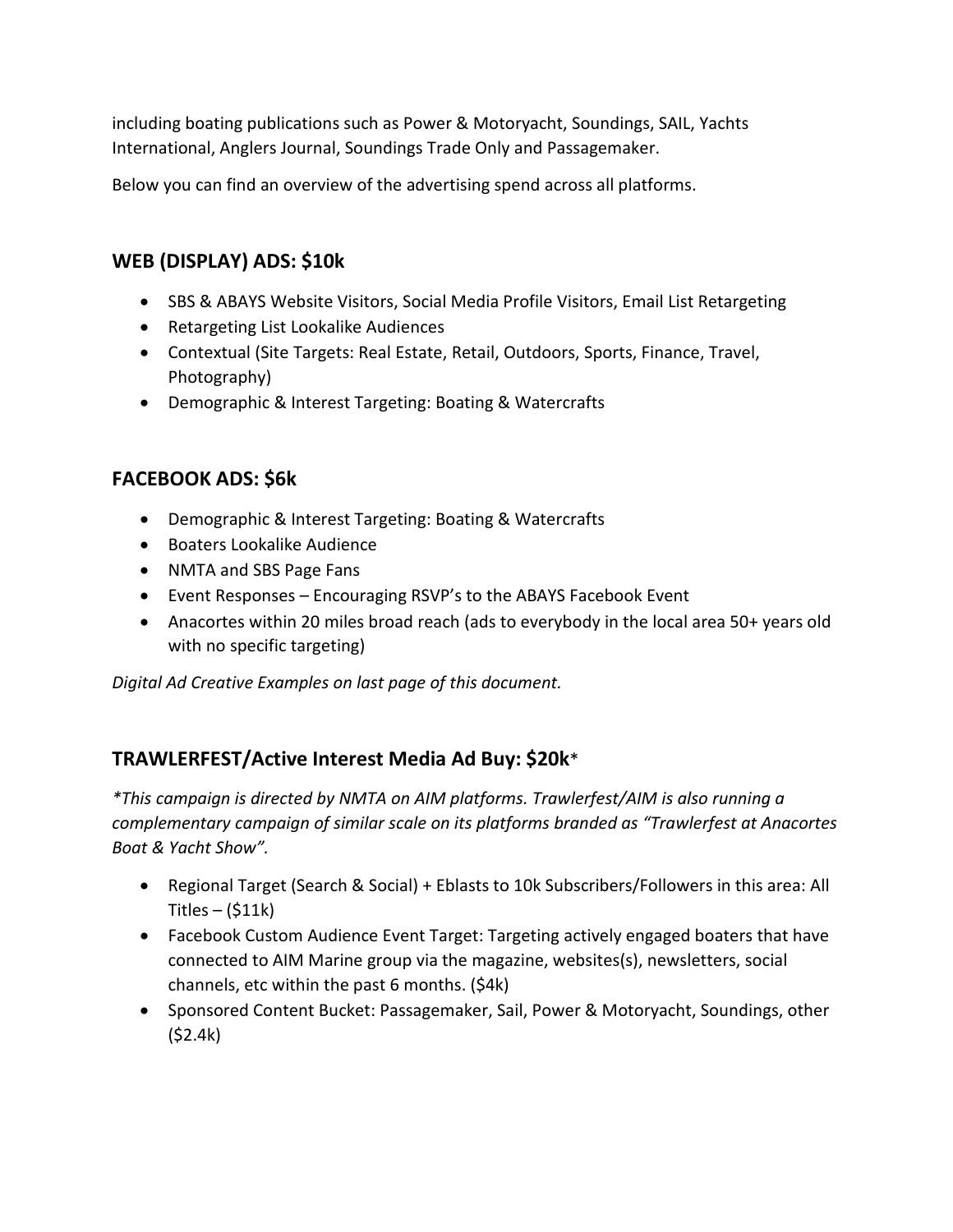including boating publications such as Power & Motoryacht, Soundings, SAIL, Yachts International, Anglers Journal, Soundings Trade Only and Passagemaker.

Below you can find an overview of the advertising spend across all platforms.

## **WEB (DISPLAY) ADS: \$10k**

- SBS & ABAYS Website Visitors, Social Media Profile Visitors, Email List Retargeting
- Retargeting List Lookalike Audiences
- Contextual (Site Targets: Real Estate, Retail, Outdoors, Sports, Finance, Travel, Photography)
- Demographic & Interest Targeting: Boating & Watercrafts

#### **FACEBOOK ADS: \$6k**

- Demographic & Interest Targeting: Boating & Watercrafts
- Boaters Lookalike Audience
- NMTA and SBS Page Fans
- Event Responses Encouraging RSVP's to the ABAYS Facebook Event
- Anacortes within 20 miles broad reach (ads to everybody in the local area 50+ years old with no specific targeting)

*Digital Ad Creative Examples on last page of this document.*

### **TRAWLERFEST/Active Interest Media Ad Buy: \$20k**\*

*\*This campaign is directed by NMTA on AIM platforms. Trawlerfest/AIM is also running a complementary campaign of similar scale on its platforms branded as "Trawlerfest at Anacortes Boat & Yacht Show".*

- Regional Target (Search & Social) + Eblasts to 10k Subscribers/Followers in this area: All Titles –  $(511k)$
- Facebook Custom Audience Event Target: Targeting actively engaged boaters that have connected to AIM Marine group via the magazine, websites(s), newsletters, social channels, etc within the past 6 months. (\$4k)
- Sponsored Content Bucket: Passagemaker, Sail, Power & Motoryacht, Soundings, other (\$2.4k)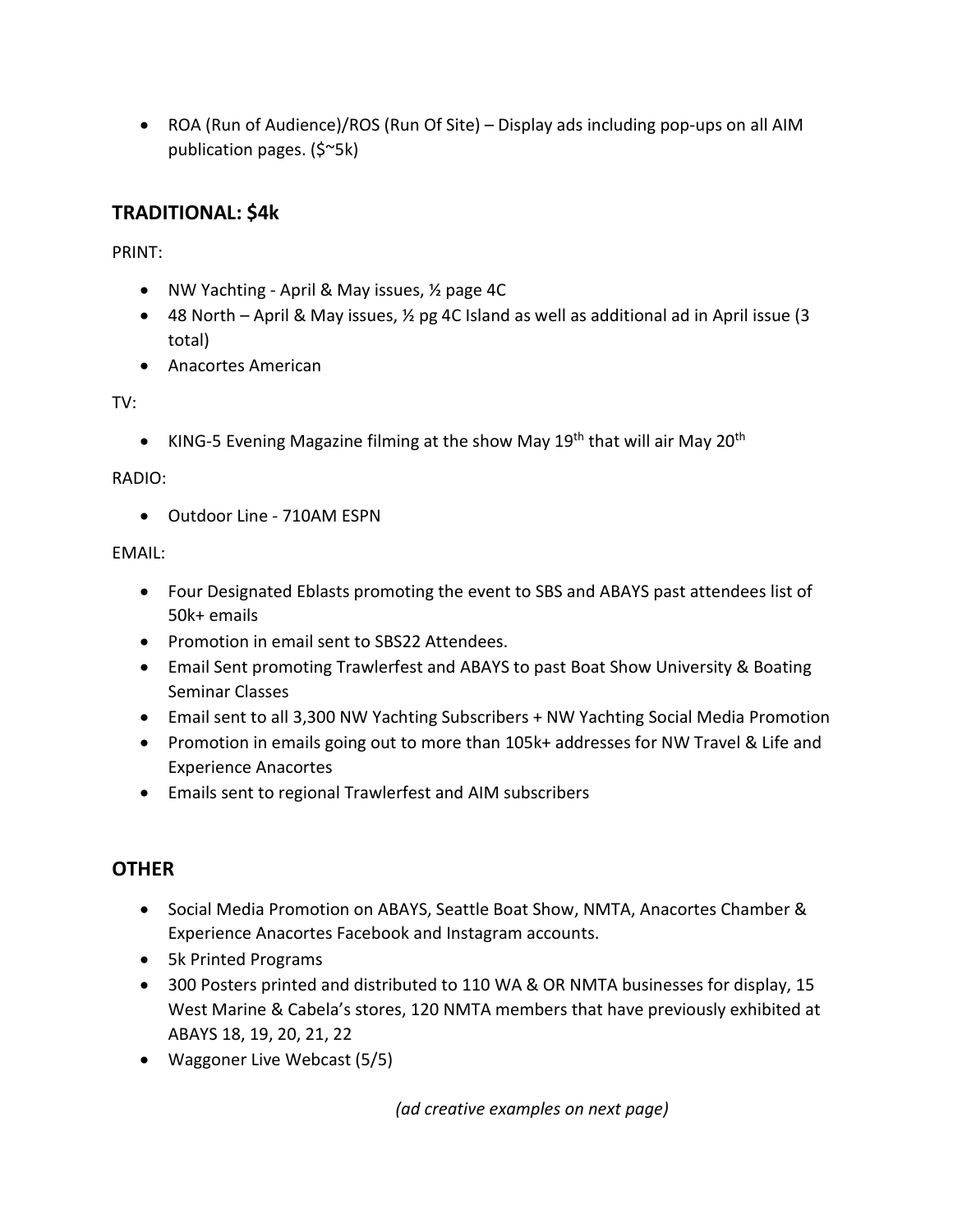• ROA (Run of Audience)/ROS (Run Of Site) – Display ads including pop-ups on all AIM publication pages. (\$~5k)

## **TRADITIONAL: \$4k**

PRINT:

- NW Yachting April & May issues, 1/2 page 4C
- 48 North April & May issues,  $\frac{1}{2}$  pg 4C Island as well as additional ad in April issue (3 total)
- Anacortes American

TV:

• KING-5 Evening Magazine filming at the show May  $19<sup>th</sup>$  that will air May  $20<sup>th</sup>$ 

RADIO:

• Outdoor Line - 710AM ESPN

EMAIL:

- Four Designated Eblasts promoting the event to SBS and ABAYS past attendees list of 50k+ emails
- Promotion in email sent to SBS22 Attendees.
- Email Sent promoting Trawlerfest and ABAYS to past Boat Show University & Boating Seminar Classes
- Email sent to all 3,300 NW Yachting Subscribers + NW Yachting Social Media Promotion
- Promotion in emails going out to more than 105k+ addresses for NW Travel & Life and Experience Anacortes
- Emails sent to regional Trawlerfest and AIM subscribers

## **OTHER**

- Social Media Promotion on ABAYS, Seattle Boat Show, NMTA, Anacortes Chamber & Experience Anacortes Facebook and Instagram accounts.
- 5k Printed Programs
- 300 Posters printed and distributed to 110 WA & OR NMTA businesses for display, 15 West Marine & Cabela's stores, 120 NMTA members that have previously exhibited at ABAYS 18, 19, 20, 21, 22
- Waggoner Live Webcast (5/5)

*(ad creative examples on next page)*